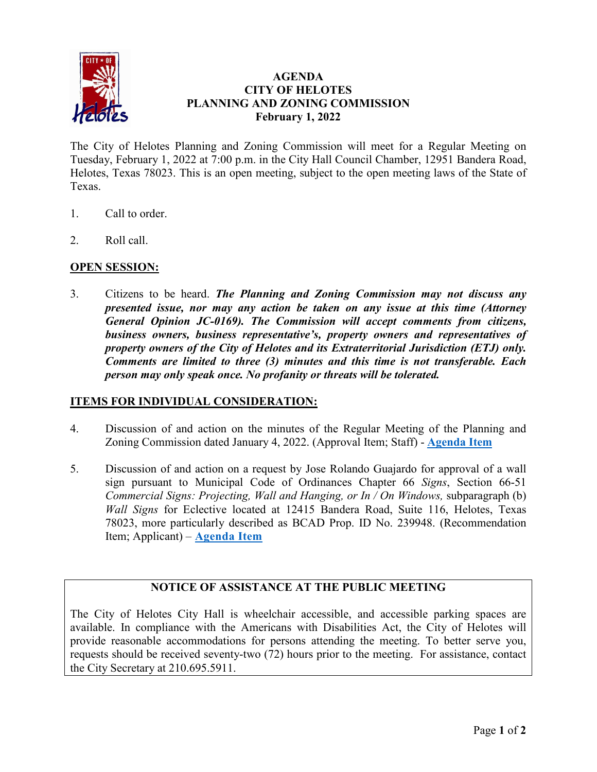

## **AGENDA CITY OF HELOTES PLANNING AND ZONING COMMISSION February 1, 2022**

The City of Helotes Planning and Zoning Commission will meet for a Regular Meeting on Tuesday, February 1, 2022 at 7:00 p.m. in the City Hall Council Chamber, 12951 Bandera Road, Helotes, Texas 78023. This is an open meeting, subject to the open meeting laws of the State of Texas.

- 1. Call to order.
- 2. Roll call.

### **OPEN SESSION:**

3. Citizens to be heard. *The Planning and Zoning Commission may not discuss any presented issue, nor may any action be taken on any issue at this time (Attorney General Opinion JC-0169). The Commission will accept comments from citizens, business owners, business representative's, property owners and representatives of property owners of the City of Helotes and its Extraterritorial Jurisdiction (ETJ) only. Comments are limited to three (3) minutes and this time is not transferable. Each person may only speak once. No profanity or threats will be tolerated.*

#### **ITEMS FOR INDIVIDUAL CONSIDERATION:**

- 4. Discussion of and action on the minutes of the Regular Meeting of the Planning and Zoning Commission dated January 4, 2022. (Approval Item; Staff) - **[Agenda Item](https://www.helotes-tx.gov/wp-content/uploads/2022/01/01-04-2022-PZ-Min.pdf)**
- 5. Discussion of and action on a request by Jose Rolando Guajardo for approval of a wall sign pursuant to Municipal Code of Ordinances Chapter 66 *Signs*, Section 66-51 *Commercial Signs: Projecting, Wall and Hanging, or In / On Windows, subparagraph (b) Wall Signs* for Eclective located at 12415 Bandera Road, Suite 116, Helotes, Texas 78023, more particularly described as BCAD Prop. ID No. 239948. (Recommendation Item; Applicant) – **[Agenda Item](https://www.helotes-tx.gov/wp-content/uploads/2022/01/PZ-02.01.22-item-5-binder.pdf)**

# **NOTICE OF ASSISTANCE AT THE PUBLIC MEETING**

The City of Helotes City Hall is wheelchair accessible, and accessible parking spaces are available. In compliance with the Americans with Disabilities Act, the City of Helotes will provide reasonable accommodations for persons attending the meeting. To better serve you, requests should be received seventy-two (72) hours prior to the meeting. For assistance, contact the City Secretary at 210.695.5911.